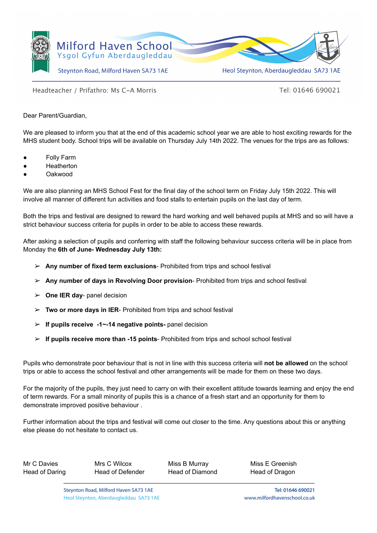

Headteacher / Prifathro: Ms C-A Morris

Tel: 01646 690021

Dear Parent/Guardian,

We are pleased to inform you that at the end of this academic school year we are able to host exciting rewards for the MHS student body. School trips will be available on Thursday July 14th 2022. The venues for the trips are as follows:

- **Folly Farm**
- **Heatherton**
- **Oakwood**

We are also planning an MHS School Fest for the final day of the school term on Friday July 15th 2022. This will involve all manner of different fun activities and food stalls to entertain pupils on the last day of term.

Both the trips and festival are designed to reward the hard working and well behaved pupils at MHS and so will have a strict behaviour success criteria for pupils in order to be able to access these rewards.

After asking a selection of pupils and conferring with staff the following behaviour success criteria will be in place from Monday the **6th of June- Wednesday July 13th:**

- ➢ **Any number of fixed term exclusions** Prohibited from trips and school festival
- ➢ **Any number of days in Revolving Door provision** Prohibited from trips and school festival
- ➢ **One IER day** panel decision
- ➢ **Two or more days in IER** Prohibited from trips and school festival
- ➢ **If pupils receive -1~-14 negative points-** panel decision
- ➢ **If pupils receive more than -15 points** Prohibited from trips and school school festival

Pupils who demonstrate poor behaviour that is not in line with this success criteria will **not be allowed** on the school trips or able to access the school festival and other arrangements will be made for them on these two days.

For the majority of the pupils, they just need to carry on with their excellent attitude towards learning and enjoy the end of term rewards. For a small minority of pupils this is a chance of a fresh start and an opportunity for them to demonstrate improved positive behaviour .

Further information about the trips and festival will come out closer to the time. Any questions about this or anything else please do not hesitate to contact us.

| Mr C Davies    |  |
|----------------|--|
| Head of Daring |  |

Head of Defender Head of Diamond Head of Dragon

Mrs C Wilcox Miss B Murray Miss E Greenish

Tel: 01646 690021 www.milfordhavenschool.co.uk